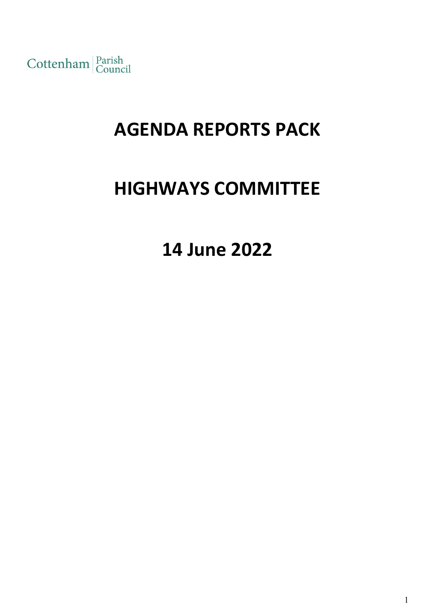Cottenham Parish

# **AGENDA REPORTS PACK**

# **HIGHWAYS COMMITTEE**

**14 June 2022**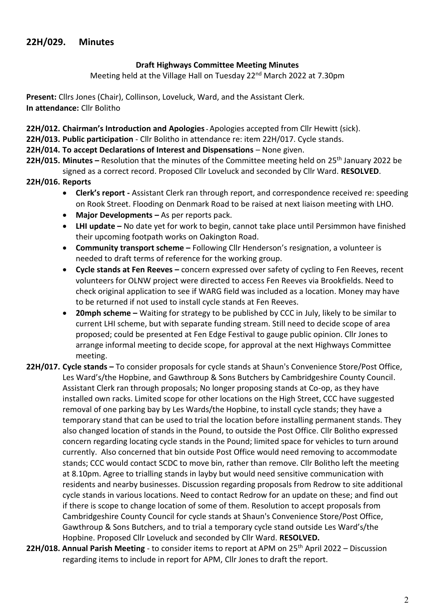#### **Draft Highways Committee Meeting Minutes**

Meeting held at the Village Hall on Tuesday 22<sup>nd</sup> March 2022 at 7.30pm

**Present:** Cllrs Jones (Chair), Collinson, Loveluck, Ward, and the Assistant Clerk. **In attendance:** Cllr Bolitho

- **22H/012. Chairman's Introduction and Apologies-** Apologies accepted from Cllr Hewitt (sick).
- **22H/013. Public participation** Cllr Bolitho in attendance re: item 22H/017. Cycle stands.
- **22H/014. To accept Declarations of Interest and Dispensations** None given.
- **22H/015. Minutes** Resolution that the minutes of the Committee meeting held on 25<sup>th</sup> January 2022 be signed as a correct record. Proposed Cllr Loveluck and seconded by Cllr Ward. **RESOLVED**.
- **22H/016. Reports**
	- **Clerk's report -** Assistant Clerk ran through report, and correspondence received re: speeding on Rook Street. Flooding on Denmark Road to be raised at next liaison meeting with LHO.
	- **Major Developments –** As per reports pack.
	- **LHI update –** No date yet for work to begin, cannot take place until Persimmon have finished their upcoming footpath works on Oakington Road.
	- **Community transport scheme –** Following Cllr Henderson's resignation, a volunteer is needed to draft terms of reference for the working group.
	- **Cycle stands at Fen Reeves –** concern expressed over safety of cycling to Fen Reeves, recent volunteers for OLNW project were directed to access Fen Reeves via Brookfields. Need to check original application to see if WARG field was included as a location. Money may have to be returned if not used to install cycle stands at Fen Reeves.
	- **20mph scheme –** Waiting for strategy to be published by CCC in July, likely to be similar to current LHI scheme, but with separate funding stream. Still need to decide scope of area proposed; could be presented at Fen Edge Festival to gauge public opinion. Cllr Jones to arrange informal meeting to decide scope, for approval at the next Highways Committee meeting.
- **22H/017. Cycle stands –** To consider proposals for cycle stands at Shaun's Convenience Store/Post Office, Les Ward's/the Hopbine, and Gawthroup & Sons Butchers by Cambridgeshire County Council. Assistant Clerk ran through proposals; No longer proposing stands at Co-op, as they have installed own racks. Limited scope for other locations on the High Street, CCC have suggested removal of one parking bay by Les Wards/the Hopbine, to install cycle stands; they have a temporary stand that can be used to trial the location before installing permanent stands. They also changed location of stands in the Pound, to outside the Post Office. Cllr Bolitho expressed concern regarding locating cycle stands in the Pound; limited space for vehicles to turn around currently. Also concerned that bin outside Post Office would need removing to accommodate stands; CCC would contact SCDC to move bin, rather than remove. Cllr Bolitho left the meeting at 8.10pm. Agree to trialling stands in layby but would need sensitive communication with residents and nearby businesses. Discussion regarding proposals from Redrow to site additional cycle stands in various locations. Need to contact Redrow for an update on these; and find out if there is scope to change location of some of them. Resolution to accept proposals from Cambridgeshire County Council for cycle stands at Shaun's Convenience Store/Post Office, Gawthroup & Sons Butchers, and to trial a temporary cycle stand outside Les Ward's/the Hopbine. Proposed Cllr Loveluck and seconded by Cllr Ward. **RESOLVED.**
- **22H/018. Annual Parish Meeting**  to consider items to report at APM on 25th April 2022 Discussion regarding items to include in report for APM, Cllr Jones to draft the report.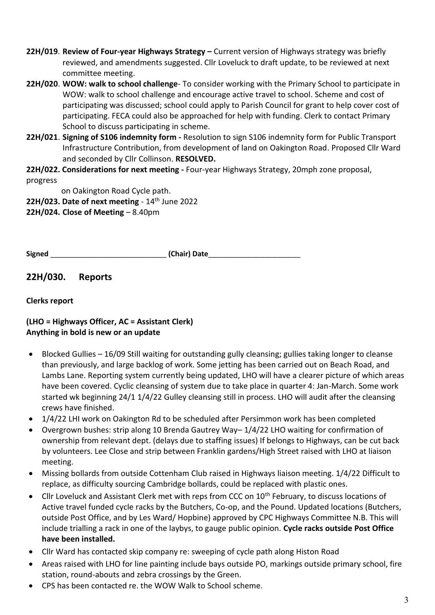- **22H/019**. **Review of Four-year Highways Strategy –** Current version of Highways strategy was briefly reviewed, and amendments suggested. Cllr Loveluck to draft update, to be reviewed at next committee meeting.
- **22H/020**. **WOW: walk to school challenge** To consider working with the Primary School to participate in WOW: walk to school challenge and encourage active travel to school. Scheme and cost of participating was discussed; school could apply to Parish Council for grant to help cover cost of participating. FECA could also be approached for help with funding. Clerk to contact Primary School to discuss participating in scheme.
- **22H/021**. **Signing of S106 indemnity form -** Resolution to sign S106 indemnity form for Public Transport Infrastructure Contribution, from development of land on Oakington Road. Proposed Cllr Ward and seconded by Cllr Collinson. **RESOLVED.**
- **22H/022. Considerations for next meeting -** Four-year Highways Strategy, 20mph zone proposal, progress

on Oakington Road Cycle path.

**22H/023. Date of next meeting** - 14<sup>th</sup> June 2022

**22H/024. Close of Meeting** – 8.40pm

|  | <b>Signed</b> | (Chair) Date |
|--|---------------|--------------|
|--|---------------|--------------|

**22H/030. Reports**

**Clerks report**

**(LHO = Highways Officer, AC = Assistant Clerk) Anything in bold is new or an update**

- Blocked Gullies 16/09 Still waiting for outstanding gully cleansing; gullies taking longer to cleanse than previously, and large backlog of work. Some jetting has been carried out on Beach Road, and Lambs Lane. Reporting system currently being updated, LHO will have a clearer picture of which areas have been covered. Cyclic cleansing of system due to take place in quarter 4: Jan-March. Some work started wk beginning 24/1 1/4/22 Gulley cleansing still in process. LHO will audit after the cleansing crews have finished.
- 1/4/22 LHI work on Oakington Rd to be scheduled after Persimmon work has been completed
- Overgrown bushes: strip along 10 Brenda Gautrey Way– 1/4/22 LHO waiting for confirmation of ownership from relevant dept. (delays due to staffing issues) If belongs to Highways, can be cut back by volunteers. Lee Close and strip between Franklin gardens/High Street raised with LHO at liaison meeting.
- Missing bollards from outside Cottenham Club raised in Highways liaison meeting. 1/4/22 Difficult to replace, as difficulty sourcing Cambridge bollards, could be replaced with plastic ones.
- Cllr Loveluck and Assistant Clerk met with reps from CCC on 10<sup>th</sup> February, to discuss locations of Active travel funded cycle racks by the Butchers, Co-op, and the Pound. Updated locations (Butchers, outside Post Office, and by Les Ward/ Hopbine) approved by CPC Highways Committee N.B. This will include trialling a rack in one of the laybys, to gauge public opinion. **Cycle racks outside Post Office have been installed.**
- Cllr Ward has contacted skip company re: sweeping of cycle path along Histon Road
- Areas raised with LHO for line painting include bays outside PO, markings outside primary school, fire station, round-abouts and zebra crossings by the Green.
- CPS has been contacted re. the WOW Walk to School scheme.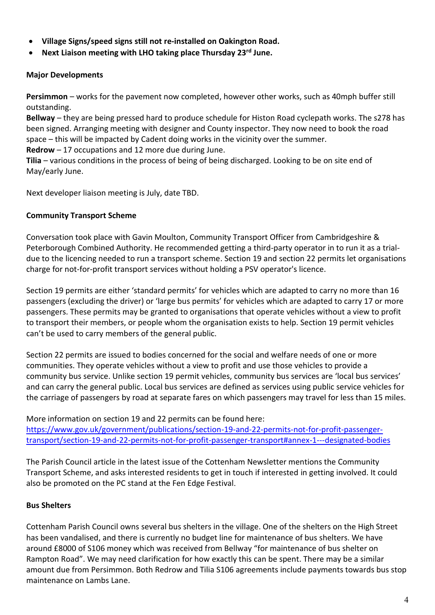- **Village Signs/speed signs still not re-installed on Oakington Road.**
- **Next Liaison meeting with LHO taking place Thursday 23rd June.**

#### **Major Developments**

**Persimmon** – works for the pavement now completed, however other works, such as 40mph buffer still outstanding.

**Bellway** – they are being pressed hard to produce schedule for Histon Road cyclepath works. The s278 has been signed. Arranging meeting with designer and County inspector. They now need to book the road space – this will be impacted by Cadent doing works in the vicinity over the summer.

**Redrow** – 17 occupations and 12 more due during June.

**Tilia** – various conditions in the process of being of being discharged. Looking to be on site end of May/early June.

Next developer liaison meeting is July, date TBD.

#### **Community Transport Scheme**

Conversation took place with Gavin Moulton, Community Transport Officer from Cambridgeshire & Peterborough Combined Authority. He recommended getting a third-party operator in to run it as a trialdue to the licencing needed to run a transport scheme. Section 19 and section 22 permits let organisations charge for not-for-profit transport services without holding a PSV operator's licence.

Section 19 permits are either 'standard permits' for vehicles which are adapted to carry no more than 16 passengers (excluding the driver) or 'large bus permits' for vehicles which are adapted to carry 17 or more passengers. These permits may be granted to organisations that operate vehicles without a view to profit to transport their members, or people whom the organisation exists to help. Section 19 permit vehicles can't be used to carry members of the general public.

Section 22 permits are issued to bodies concerned for the social and welfare needs of one or more communities. They operate vehicles without a view to profit and use those vehicles to provide a community bus service. Unlike section 19 permit vehicles, community bus services are 'local bus services' and can carry the general public. Local bus services are defined as services using public service vehicles for the carriage of passengers by road at separate fares on which passengers may travel for less than 15 miles.

More information on section 19 and 22 permits can be found here: [https://www.gov.uk/government/publications/section-19-and-22-permits-not-for-profit-passenger](https://www.gov.uk/government/publications/section-19-and-22-permits-not-for-profit-passenger-transport/section-19-and-22-permits-not-for-profit-passenger-transport#annex-1---designated-bodies)[transport/section-19-and-22-permits-not-for-profit-passenger-transport#annex-1---designated-bodies](https://www.gov.uk/government/publications/section-19-and-22-permits-not-for-profit-passenger-transport/section-19-and-22-permits-not-for-profit-passenger-transport#annex-1---designated-bodies)

The Parish Council article in the latest issue of the Cottenham Newsletter mentions the Community Transport Scheme, and asks interested residents to get in touch if interested in getting involved. It could also be promoted on the PC stand at the Fen Edge Festival.

### **Bus Shelters**

Cottenham Parish Council owns several bus shelters in the village. One of the shelters on the High Street has been vandalised, and there is currently no budget line for maintenance of bus shelters. We have around £8000 of S106 money which was received from Bellway "for maintenance of bus shelter on Rampton Road". We may need clarification for how exactly this can be spent. There may be a similar amount due from Persimmon. Both Redrow and Tilia S106 agreements include payments towards bus stop maintenance on Lambs Lane.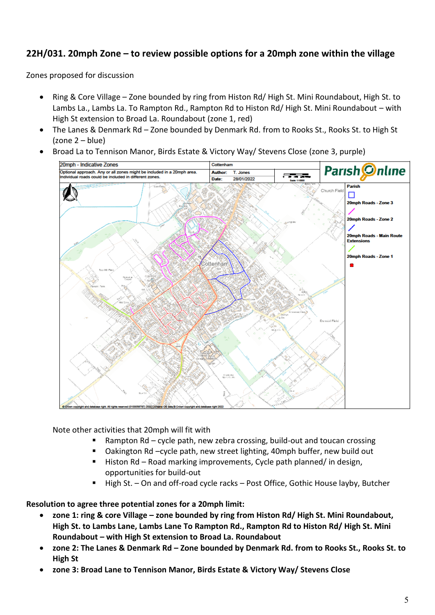## **22H/031. 20mph Zone – to review possible options for a 20mph zone within the village**

Zones proposed for discussion

- Ring & Core Village Zone bounded by ring from Histon Rd/ High St. Mini Roundabout, High St. to Lambs La., Lambs La. To Rampton Rd., Rampton Rd to Histon Rd/ High St. Mini Roundabout – with High St extension to Broad La. Roundabout (zone 1, red)
- The Lanes & Denmark Rd Zone bounded by Denmark Rd. from to Rooks St., Rooks St. to High St (zone 2 – blue)
- Broad La to Tennison Manor, Birds Estate & Victory Way/ Stevens Close (zone 3, purple)



Note other activities that 20mph will fit with

- Rampton Rd cycle path, new zebra crossing, build-out and toucan crossing
- Oakington Rd –cycle path, new street lighting, 40mph buffer, new build out
- Histon Rd Road marking improvements, Cycle path planned/ in design, opportunities for build-out
- High St. On and off-road cycle racks Post Office, Gothic House layby, Butcher

**Resolution to agree three potential zones for a 20mph limit:**

- **zone 1: ring & core Village – zone bounded by ring from Histon Rd/ High St. Mini Roundabout, High St. to Lambs Lane, Lambs Lane To Rampton Rd., Rampton Rd to Histon Rd/ High St. Mini Roundabout – with High St extension to Broad La. Roundabout**
- **zone 2: The Lanes & Denmark Rd – Zone bounded by Denmark Rd. from to Rooks St., Rooks St. to High St**
- **zone 3: Broad Lane to Tennison Manor, Birds Estate & Victory Way/ Stevens Close**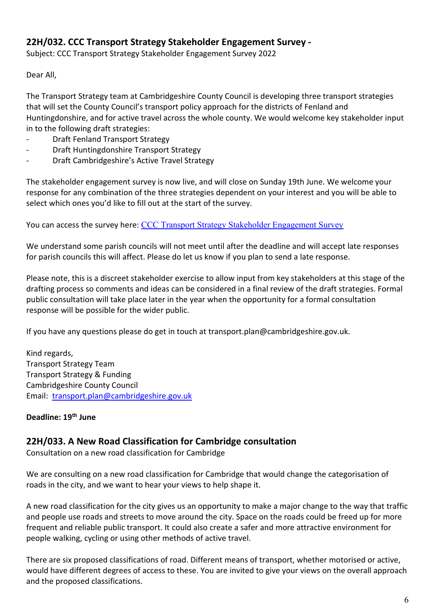## **22H/032. CCC Transport Strategy Stakeholder Engagement Survey -**

Subject: CCC Transport Strategy Stakeholder Engagement Survey 2022

Dear All,

The Transport Strategy team at Cambridgeshire County Council is developing three transport strategies that will set the County Council's transport policy approach for the districts of Fenland and Huntingdonshire, and for active travel across the whole county. We would welcome key stakeholder input in to the following draft strategies:

- Draft Fenland Transport Strategy
- Draft Huntingdonshire Transport Strategy
- Draft Cambridgeshire's Active Travel Strategy

The stakeholder engagement survey is now live, and will close on Sunday 19th June. We welcome your response for any combination of the three strategies dependent on your interest and you will be able to select which ones you'd like to fill out at the start of the survey.

You can access the survey here: [CCC Transport Strategy Stakeholder Engagement Survey](https://www.smartsurvey.co.uk/s/6AR2HT/)

We understand some parish councils will not meet until after the deadline and will accept late responses for parish councils this will affect. Please do let us know if you plan to send a late response.

Please note, this is a discreet stakeholder exercise to allow input from key stakeholders at this stage of the drafting process so comments and ideas can be considered in a final review of the draft strategies. Formal public consultation will take place later in the year when the opportunity for a formal consultation response will be possible for the wider public.

If you have any questions please do get in touch at transport.plan@cambridgeshire.gov.uk.

Kind regards, Transport Strategy Team Transport Strategy & Funding Cambridgeshire County Council Email: [transport.plan@cambridgeshire.gov.uk](mailto:transport.plan@cambridgeshire.gov.uk)

### **Deadline: 19th June**

## **22H/033. A New Road Classification for Cambridge consultation**

Consultation on a new road classification for Cambridge

We are consulting on a new road classification for Cambridge that would change the categorisation of roads in the city, and we want to hear your views to help shape it.

A new road classification for the city gives us an opportunity to make a major change to the way that traffic and people use roads and streets to move around the city. Space on the roads could be freed up for more frequent and reliable public transport. It could also create a safer and more attractive environment for people walking, cycling or using other methods of active travel.

There are six proposed classifications of road. Different means of transport, whether motorised or active, would have different degrees of access to these. You are invited to give your views on the overall approach and the proposed classifications.